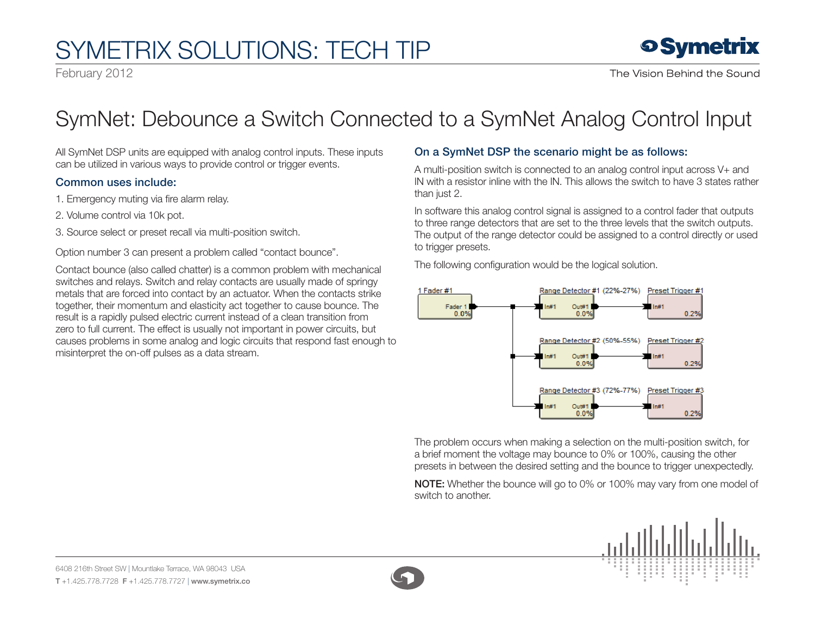## SymETRIX Solutions: Tech Tip

February 2012



### SymNet: Debounce a Switch Connected to a SymNet Analog Control Input

All SymNet DSP units are equipped with analog control inputs. These inputs can be utilized in various ways to provide control or trigger events.

#### Common uses include:

1. Emergency muting via fire alarm relay.

- 2. Volume control via 10k pot.
- 3. Source select or preset recall via multi-position switch.

Option number 3 can present a problem called "contact bounce".

Contact bounce (also called chatter) is a common problem with mechanical switches and relays. Switch and relay contacts are usually made of springy metals that are forced into contact by an actuator. When the contacts strike together, their momentum and elasticity act together to cause bounce. The result is a rapidly pulsed electric current instead of a clean transition from zero to full current. The effect is usually not important in power circuits, but causes problems in some analog and logic circuits that respond fast enough to misinterpret the on-off pulses as a data stream.

#### On a SymNet DSP the scenario might be as follows:

A multi-position switch is connected to an analog control input across V+ and IN with a resistor inline with the IN. This allows the switch to have 3 states rather than just 2.

In software this analog control signal is assigned to a control fader that outputs to three range detectors that are set to the three levels that the switch outputs. The output of the range detector could be assigned to a control directly or used to trigger presets.

The following configuration would be the logical solution.



The problem occurs when making a selection on the multi-position switch, for a brief moment the voltage may bounce to 0% or 100%, causing the other presets in between the desired setting and the bounce to trigger unexpectedly.

NOTE: Whether the bounce will go to 0% or 100% may vary from one model of switch to another.